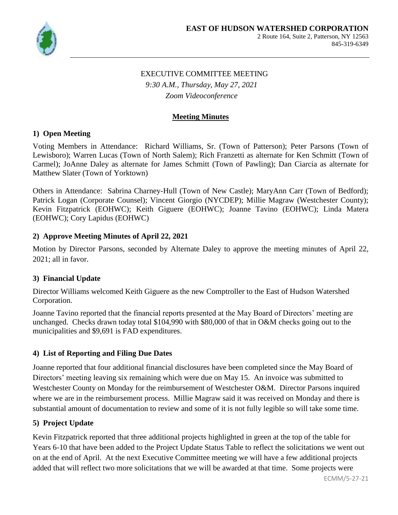

# EXECUTIVE COMMITTEE MEETING

*9:30 A.M., Thursday, May 27, 2021 Zoom Videoconference*

## **Meeting Minutes**

### **1) Open Meeting**

Voting Members in Attendance: Richard Williams, Sr. (Town of Patterson); Peter Parsons (Town of Lewisboro); Warren Lucas (Town of North Salem); Rich Franzetti as alternate for Ken Schmitt (Town of Carmel); JoAnne Daley as alternate for James Schmitt (Town of Pawling); Dan Ciarcia as alternate for Matthew Slater (Town of Yorktown)

Others in Attendance: Sabrina Charney-Hull (Town of New Castle); MaryAnn Carr (Town of Bedford); Patrick Logan (Corporate Counsel); Vincent Giorgio (NYCDEP); Millie Magraw (Westchester County); Kevin Fitzpatrick (EOHWC); Keith Giguere (EOHWC); Joanne Tavino (EOHWC); Linda Matera (EOHWC); Cory Lapidus (EOHWC)

## **2) Approve Meeting Minutes of April 22, 2021**

Motion by Director Parsons, seconded by Alternate Daley to approve the meeting minutes of April 22, 2021; all in favor.

# **3) Financial Update**

Director Williams welcomed Keith Giguere as the new Comptroller to the East of Hudson Watershed Corporation.

Joanne Tavino reported that the financial reports presented at the May Board of Directors' meeting are unchanged. Checks drawn today total \$104,990 with \$80,000 of that in O&M checks going out to the municipalities and \$9,691 is FAD expenditures.

# **4) List of Reporting and Filing Due Dates**

Joanne reported that four additional financial disclosures have been completed since the May Board of Directors' meeting leaving six remaining which were due on May 15. An invoice was submitted to Westchester County on Monday for the reimbursement of Westchester O&M. Director Parsons inquired where we are in the reimbursement process. Millie Magraw said it was received on Monday and there is substantial amount of documentation to review and some of it is not fully legible so will take some time.

# **5) Project Update**

Kevin Fitzpatrick reported that three additional projects highlighted in green at the top of the table for Years 6-10 that have been added to the Project Update Status Table to reflect the solicitations we went out on at the end of April. At the next Executive Committee meeting we will have a few additional projects added that will reflect two more solicitations that we will be awarded at that time. Some projects were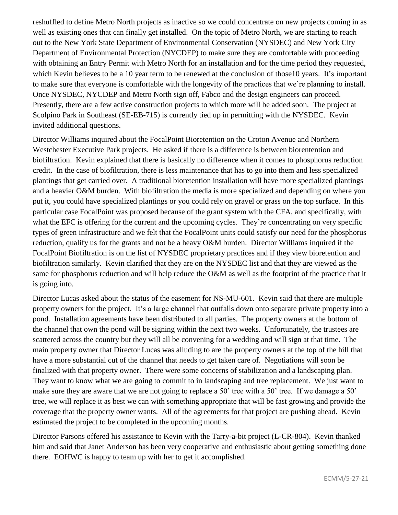reshuffled to define Metro North projects as inactive so we could concentrate on new projects coming in as well as existing ones that can finally get installed. On the topic of Metro North, we are starting to reach out to the New York State Department of Environmental Conservation (NYSDEC) and New York City Department of Environmental Protection (NYCDEP) to make sure they are comfortable with proceeding with obtaining an Entry Permit with Metro North for an installation and for the time period they requested, which Kevin believes to be a 10 year term to be renewed at the conclusion of those 10 years. It's important to make sure that everyone is comfortable with the longevity of the practices that we're planning to install. Once NYSDEC, NYCDEP and Metro North sign off, Fabco and the design engineers can proceed. Presently, there are a few active construction projects to which more will be added soon. The project at Scolpino Park in Southeast (SE-EB-715) is currently tied up in permitting with the NYSDEC. Kevin invited additional questions.

Director Williams inquired about the FocalPoint Bioretention on the Croton Avenue and Northern Westchester Executive Park projects. He asked if there is a difference is between biorentention and biofiltration. Kevin explained that there is basically no difference when it comes to phosphorus reduction credit. In the case of biofiltration, there is less maintenance that has to go into them and less specialized plantings that get carried over. A traditional bioretention installation will have more specialized plantings and a heavier O&M burden. With biofiltration the media is more specialized and depending on where you put it, you could have specialized plantings or you could rely on gravel or grass on the top surface. In this particular case FocalPoint was proposed because of the grant system with the CFA, and specifically, with what the EFC is offering for the current and the upcoming cycles. They're concentrating on very specific types of green infrastructure and we felt that the FocalPoint units could satisfy our need for the phosphorus reduction, qualify us for the grants and not be a heavy O&M burden. Director Williams inquired if the FocalPoint Biofiltration is on the list of NYSDEC proprietary practices and if they view bioretention and biofiltration similarly. Kevin clarified that they are on the NYSDEC list and that they are viewed as the same for phosphorus reduction and will help reduce the O&M as well as the footprint of the practice that it is going into.

Director Lucas asked about the status of the easement for NS-MU-601. Kevin said that there are multiple property owners for the project. It's a large channel that outfalls down onto separate private property into a pond. Installation agreements have been distributed to all parties. The property owners at the bottom of the channel that own the pond will be signing within the next two weeks. Unfortunately, the trustees are scattered across the country but they will all be convening for a wedding and will sign at that time. The main property owner that Director Lucas was alluding to are the property owners at the top of the hill that have a more substantial cut of the channel that needs to get taken care of. Negotiations will soon be finalized with that property owner. There were some concerns of stabilization and a landscaping plan. They want to know what we are going to commit to in landscaping and tree replacement. We just want to make sure they are aware that we are not going to replace a 50' tree with a 50' tree. If we damage a 50' tree, we will replace it as best we can with something appropriate that will be fast growing and provide the coverage that the property owner wants. All of the agreements for that project are pushing ahead. Kevin estimated the project to be completed in the upcoming months.

Director Parsons offered his assistance to Kevin with the Tarry-a-bit project (L-CR-804). Kevin thanked him and said that Janet Anderson has been very cooperative and enthusiastic about getting something done there. EOHWC is happy to team up with her to get it accomplished.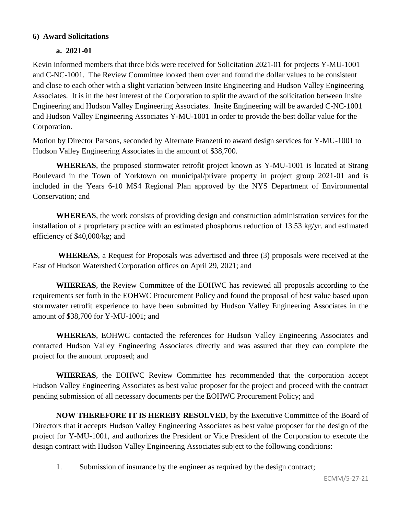#### **6) Award Solicitations**

#### **a. 2021-01**

Kevin informed members that three bids were received for Solicitation 2021-01 for projects Y-MU-1001 and C-NC-1001. The Review Committee looked them over and found the dollar values to be consistent and close to each other with a slight variation between Insite Engineering and Hudson Valley Engineering Associates. It is in the best interest of the Corporation to split the award of the solicitation between Insite Engineering and Hudson Valley Engineering Associates. Insite Engineering will be awarded C-NC-1001 and Hudson Valley Engineering Associates Y-MU-1001 in order to provide the best dollar value for the Corporation.

Motion by Director Parsons, seconded by Alternate Franzetti to award design services for Y-MU-1001 to Hudson Valley Engineering Associates in the amount of \$38,700.

**WHEREAS**, the proposed stormwater retrofit project known as Y-MU-1001 is located at Strang Boulevard in the Town of Yorktown on municipal/private property in project group 2021-01 and is included in the Years 6-10 MS4 Regional Plan approved by the NYS Department of Environmental Conservation; and

**WHEREAS**, the work consists of providing design and construction administration services for the installation of a proprietary practice with an estimated phosphorus reduction of 13.53 kg/yr. and estimated efficiency of \$40,000/kg; and

**WHEREAS**, a Request for Proposals was advertised and three (3) proposals were received at the East of Hudson Watershed Corporation offices on April 29, 2021; and

**WHEREAS**, the Review Committee of the EOHWC has reviewed all proposals according to the requirements set forth in the EOHWC Procurement Policy and found the proposal of best value based upon stormwater retrofit experience to have been submitted by Hudson Valley Engineering Associates in the amount of \$38,700 for Y-MU-1001; and

**WHEREAS**, EOHWC contacted the references for Hudson Valley Engineering Associates and contacted Hudson Valley Engineering Associates directly and was assured that they can complete the project for the amount proposed; and

**WHEREAS**, the EOHWC Review Committee has recommended that the corporation accept Hudson Valley Engineering Associates as best value proposer for the project and proceed with the contract pending submission of all necessary documents per the EOHWC Procurement Policy; and

**NOW THEREFORE IT IS HEREBY RESOLVED**, by the Executive Committee of the Board of Directors that it accepts Hudson Valley Engineering Associates as best value proposer for the design of the project for Y-MU-1001, and authorizes the President or Vice President of the Corporation to execute the design contract with Hudson Valley Engineering Associates subject to the following conditions:

1. Submission of insurance by the engineer as required by the design contract;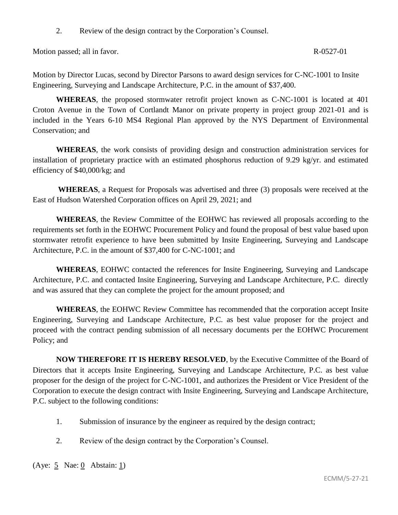2. Review of the design contract by the Corporation's Counsel.

Motion passed; all in favor. R-0527-01

Motion by Director Lucas, second by Director Parsons to award design services for C-NC-1001 to Insite Engineering, Surveying and Landscape Architecture, P.C. in the amount of \$37,400.

**WHEREAS**, the proposed stormwater retrofit project known as C-NC-1001 is located at 401 Croton Avenue in the Town of Cortlandt Manor on private property in project group 2021-01 and is included in the Years 6-10 MS4 Regional Plan approved by the NYS Department of Environmental Conservation; and

**WHEREAS**, the work consists of providing design and construction administration services for installation of proprietary practice with an estimated phosphorus reduction of 9.29 kg/yr. and estimated efficiency of \$40,000/kg; and

**WHEREAS**, a Request for Proposals was advertised and three (3) proposals were received at the East of Hudson Watershed Corporation offices on April 29, 2021; and

**WHEREAS**, the Review Committee of the EOHWC has reviewed all proposals according to the requirements set forth in the EOHWC Procurement Policy and found the proposal of best value based upon stormwater retrofit experience to have been submitted by Insite Engineering, Surveying and Landscape Architecture, P.C. in the amount of \$37,400 for C-NC-1001; and

**WHEREAS**, EOHWC contacted the references for Insite Engineering, Surveying and Landscape Architecture, P.C. and contacted Insite Engineering, Surveying and Landscape Architecture, P.C. directly and was assured that they can complete the project for the amount proposed; and

**WHEREAS**, the EOHWC Review Committee has recommended that the corporation accept Insite Engineering, Surveying and Landscape Architecture, P.C. as best value proposer for the project and proceed with the contract pending submission of all necessary documents per the EOHWC Procurement Policy; and

**NOW THEREFORE IT IS HEREBY RESOLVED**, by the Executive Committee of the Board of Directors that it accepts Insite Engineering, Surveying and Landscape Architecture, P.C. as best value proposer for the design of the project for C-NC-1001, and authorizes the President or Vice President of the Corporation to execute the design contract with Insite Engineering, Surveying and Landscape Architecture, P.C. subject to the following conditions:

- 1. Submission of insurance by the engineer as required by the design contract;
- 2. Review of the design contract by the Corporation's Counsel.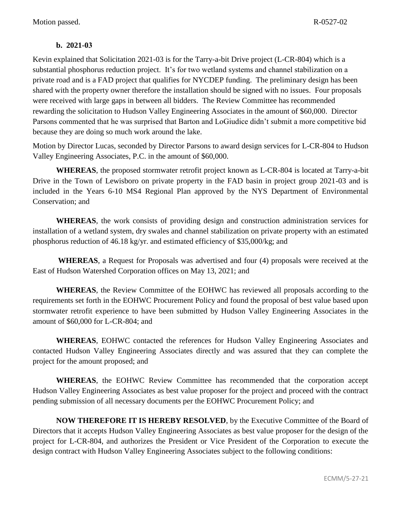## **b. 2021-03**

Kevin explained that Solicitation 2021-03 is for the Tarry-a-bit Drive project (L-CR-804) which is a substantial phosphorus reduction project. It's for two wetland systems and channel stabilization on a private road and is a FAD project that qualifies for NYCDEP funding. The preliminary design has been shared with the property owner therefore the installation should be signed with no issues. Four proposals were received with large gaps in between all bidders. The Review Committee has recommended rewarding the solicitation to Hudson Valley Engineering Associates in the amount of \$60,000. Director Parsons commented that he was surprised that Barton and LoGiudice didn't submit a more competitive bid because they are doing so much work around the lake.

Motion by Director Lucas, seconded by Director Parsons to award design services for L-CR-804 to Hudson Valley Engineering Associates, P.C. in the amount of \$60,000.

**WHEREAS**, the proposed stormwater retrofit project known as L-CR-804 is located at Tarry-a-bit Drive in the Town of Lewisboro on private property in the FAD basin in project group 2021-03 and is included in the Years 6-10 MS4 Regional Plan approved by the NYS Department of Environmental Conservation; and

**WHEREAS**, the work consists of providing design and construction administration services for installation of a wetland system, dry swales and channel stabilization on private property with an estimated phosphorus reduction of 46.18 kg/yr. and estimated efficiency of \$35,000/kg; and

**WHEREAS**, a Request for Proposals was advertised and four (4) proposals were received at the East of Hudson Watershed Corporation offices on May 13, 2021; and

**WHEREAS**, the Review Committee of the EOHWC has reviewed all proposals according to the requirements set forth in the EOHWC Procurement Policy and found the proposal of best value based upon stormwater retrofit experience to have been submitted by Hudson Valley Engineering Associates in the amount of \$60,000 for L-CR-804; and

**WHEREAS**, EOHWC contacted the references for Hudson Valley Engineering Associates and contacted Hudson Valley Engineering Associates directly and was assured that they can complete the project for the amount proposed; and

**WHEREAS**, the EOHWC Review Committee has recommended that the corporation accept Hudson Valley Engineering Associates as best value proposer for the project and proceed with the contract pending submission of all necessary documents per the EOHWC Procurement Policy; and

**NOW THEREFORE IT IS HEREBY RESOLVED**, by the Executive Committee of the Board of Directors that it accepts Hudson Valley Engineering Associates as best value proposer for the design of the project for L-CR-804, and authorizes the President or Vice President of the Corporation to execute the design contract with Hudson Valley Engineering Associates subject to the following conditions: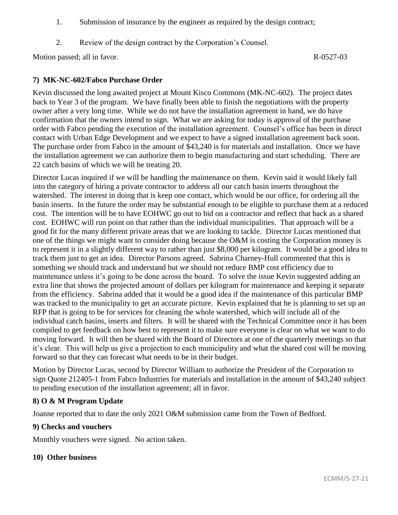- 1. Submission of insurance by the engineer as required by the design contract;
- 2. Review of the design contract by the Corporation's Counsel.

Motion passed; all in favor. R-0527-03

## **7) MK-NC-602/Fabco Purchase Order**

Kevin discussed the long awaited project at Mount Kisco Commons (MK-NC-602). The project dates back to Year 3 of the program. We have finally been able to finish the negotiations with the property owner after a very long time. While we do not have the installation agreement in hand, we do have confirmation that the owners intend to sign. What we are asking for today is approval of the purchase order with Fabco pending the execution of the installation agreement. Counsel's office has been in direct contact with Urban Edge Development and we expect to have a signed installation agreement back soon. The purchase order from Fabco in the amount of \$43,240 is for materials and installation. Once we have the installation agreement we can authorize them to begin manufacturing and start scheduling. There are 22 catch basins of which we will be treating 20.

Director Lucas inquired if we will be handling the maintenance on them. Kevin said it would likely fall into the category of hiring a private contractor to address all our catch basin inserts throughout the watershed. The interest in doing that is keep one contact, which would be our office, for ordering all the basin inserts. In the future the order may be substantial enough to be eligible to purchase them at a reduced cost. The intention will be to have EOHWC go out to bid on a contractor and reflect that back as a shared cost. EOHWC will run point on that rather than the individual municipalities. That approach will be a good fit for the many different private areas that we are looking to tackle. Director Lucas mentioned that one of the things we might want to consider doing because the O&M is costing the Corporation money is to represent it in a slightly different way to rather than just \$8,000 per kilogram. It would be a good idea to track them just to get an idea. Director Parsons agreed. Sabrina Charney-Hull commented that this is something we should track and understand but we should not reduce BMP cost efficiency due to maintenance unless it's going to be done across the board. To solve the issue Kevin suggested adding an extra line that shows the projected amount of dollars per kilogram for maintenance and keeping it separate from the efficiency. Sabrina added that it would be a good idea if the maintenance of this particular BMP was tracked to the municipality to get an accurate picture. Kevin explained that he is planning to set up an RFP that is going to be for services for cleaning the whole watershed, which will include all of the individual catch basins, inserts and filters. It will be shared with the Technical Committee once it has been compiled to get feedback on how best to represent it to make sure everyone is clear on what we want to do moving forward. It will then be shared with the Board of Directors at one of the quarterly meetings so that it's clear. This will help us give a projection to each municipality and what the shared cost will be moving forward so that they can forecast what needs to be in their budget.

Motion by Director Lucas, second by Director William to authorize the President of the Corporation to sign Quote 212405-1 from Fabco Industries for materials and installation in the amount of \$43,240 subject to pending execution of the installation agreement; all in favor.

### **8) O & M Program Update**

Joanne reported that to date the only 2021 O&M submission came from the Town of Bedford.

### **9) Checks and vouchers**

Monthly vouchers were signed. No action taken.

#### **10) Other business**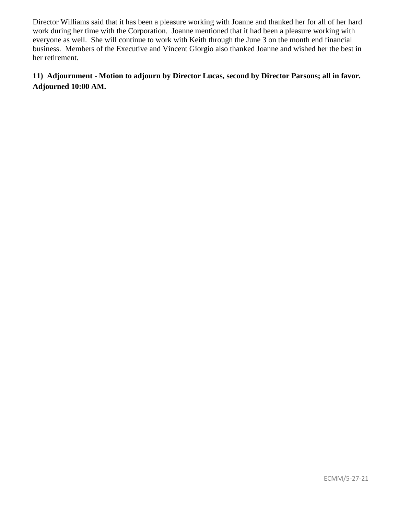Director Williams said that it has been a pleasure working with Joanne and thanked her for all of her hard work during her time with the Corporation. Joanne mentioned that it had been a pleasure working with everyone as well. She will continue to work with Keith through the June 3 on the month end financial business. Members of the Executive and Vincent Giorgio also thanked Joanne and wished her the best in her retirement.

# **11) Adjournment - Motion to adjourn by Director Lucas, second by Director Parsons; all in favor. Adjourned 10:00 AM.**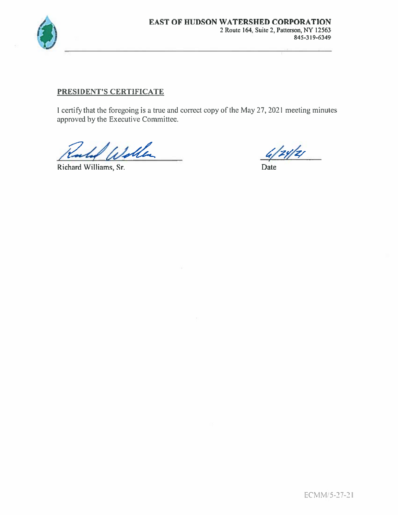

## PRESIDENT'S CERTIFICATE

I certify that the foregoing is a true and correct copy of the May 27, 2021 meeting minutes approved by the Executive Committee.

Illa

Richard Williams, Sr.

 $4/24/2/$ 

Date